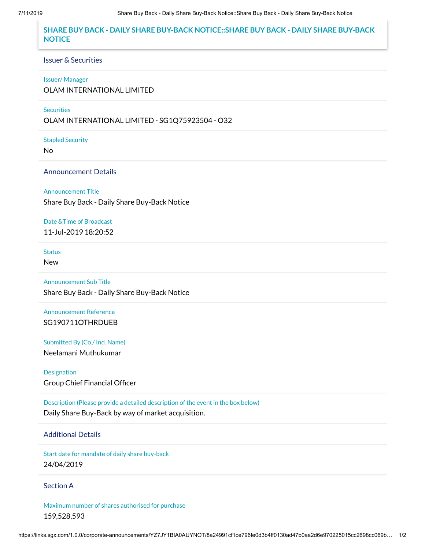# **SHARE BUY BACK - DAILY SHARE BUY-BACK NOTICE::SHARE BUY BACK - DAILY SHARE BUY-BACK NOTICE**

### Issuer & Securities

### Issuer/ Manager

OLAM INTERNATIONAL LIMITED

### **Securities**

OLAM INTERNATIONAL LIMITED - SG1Q75923504 - O32

Stapled Security

No

## Announcement Details

Announcement Title

Share Buy Back - Daily Share Buy-Back Notice

Date &Time of Broadcast 11-Jul-2019 18:20:52

**Status** 

New

Announcement Sub Title Share Buy Back - Daily Share Buy-Back Notice

Announcement Reference SG190711OTHRDUEB

Submitted By (Co./ Ind. Name) Neelamani Muthukumar

Designation Group Chief Financial Officer

Description (Please provide a detailed description of the event in the box below) Daily Share Buy-Back by way of market acquisition.

# Additional Details

Start date for mandate of daily share buy-back 24/04/2019

### Section A

Maximum number of shares authorised for purchase 159,528,593